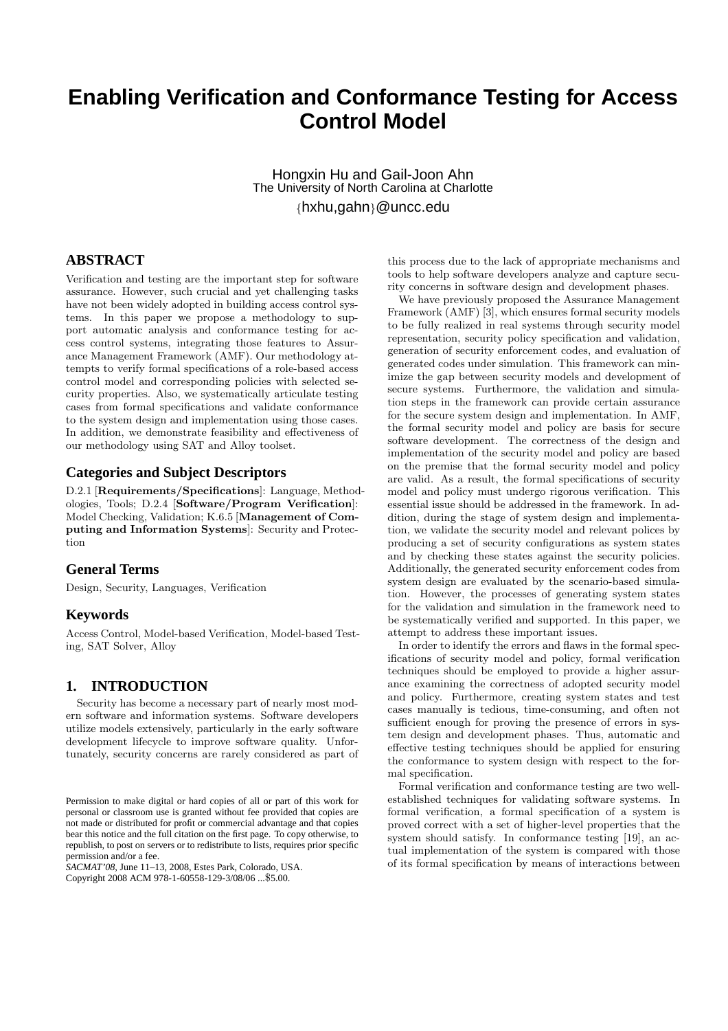# **Enabling Verification and Conformance Testing for Access Control Model**

Hongxin Hu and Gail-Joon Ahn The University of North Carolina at Charlotte {hxhu,gahn}@uncc.edu

## **ABSTRACT**

Verification and testing are the important step for software assurance. However, such crucial and yet challenging tasks have not been widely adopted in building access control systems. In this paper we propose a methodology to support automatic analysis and conformance testing for access control systems, integrating those features to Assurance Management Framework (AMF). Our methodology attempts to verify formal specifications of a role-based access control model and corresponding policies with selected security properties. Also, we systematically articulate testing cases from formal specifications and validate conformance to the system design and implementation using those cases. In addition, we demonstrate feasibility and effectiveness of our methodology using SAT and Alloy toolset.

### **Categories and Subject Descriptors**

D.2.1 [Requirements/Specifications]: Language, Methodologies, Tools; D.2.4 [Software/Program Verification]: Model Checking, Validation; K.6.5 [Management of Computing and Information Systems]: Security and Protection

### **General Terms**

Design, Security, Languages, Verification

### **Keywords**

Access Control, Model-based Verification, Model-based Testing, SAT Solver, Alloy

### **1. INTRODUCTION**

Security has become a necessary part of nearly most modern software and information systems. Software developers utilize models extensively, particularly in the early software development lifecycle to improve software quality. Unfortunately, security concerns are rarely considered as part of

*SACMAT'08,* June 11–13, 2008, Estes Park, Colorado, USA. Copyright 2008 ACM 978-1-60558-129-3/08/06 ...\$5.00.

this process due to the lack of appropriate mechanisms and tools to help software developers analyze and capture security concerns in software design and development phases.

We have previously proposed the Assurance Management Framework (AMF) [3], which ensures formal security models to be fully realized in real systems through security model representation, security policy specification and validation, generation of security enforcement codes, and evaluation of generated codes under simulation. This framework can minimize the gap between security models and development of secure systems. Furthermore, the validation and simulation steps in the framework can provide certain assurance for the secure system design and implementation. In AMF, the formal security model and policy are basis for secure software development. The correctness of the design and implementation of the security model and policy are based on the premise that the formal security model and policy are valid. As a result, the formal specifications of security model and policy must undergo rigorous verification. This essential issue should be addressed in the framework. In addition, during the stage of system design and implementation, we validate the security model and relevant polices by producing a set of security configurations as system states and by checking these states against the security policies. Additionally, the generated security enforcement codes from system design are evaluated by the scenario-based simulation. However, the processes of generating system states for the validation and simulation in the framework need to be systematically verified and supported. In this paper, we attempt to address these important issues.

In order to identify the errors and flaws in the formal specifications of security model and policy, formal verification techniques should be employed to provide a higher assurance examining the correctness of adopted security model and policy. Furthermore, creating system states and test cases manually is tedious, time-consuming, and often not sufficient enough for proving the presence of errors in system design and development phases. Thus, automatic and effective testing techniques should be applied for ensuring the conformance to system design with respect to the formal specification.

Formal verification and conformance testing are two wellestablished techniques for validating software systems. In formal verification, a formal specification of a system is proved correct with a set of higher-level properties that the system should satisfy. In conformance testing [19], an actual implementation of the system is compared with those of its formal specification by means of interactions between

Permission to make digital or hard copies of all or part of this work for personal or classroom use is granted without fee provided that copies are not made or distributed for profit or commercial advantage and that copies bear this notice and the full citation on the first page. To copy otherwise, to republish, to post on servers or to redistribute to lists, requires prior specific permission and/or a fee.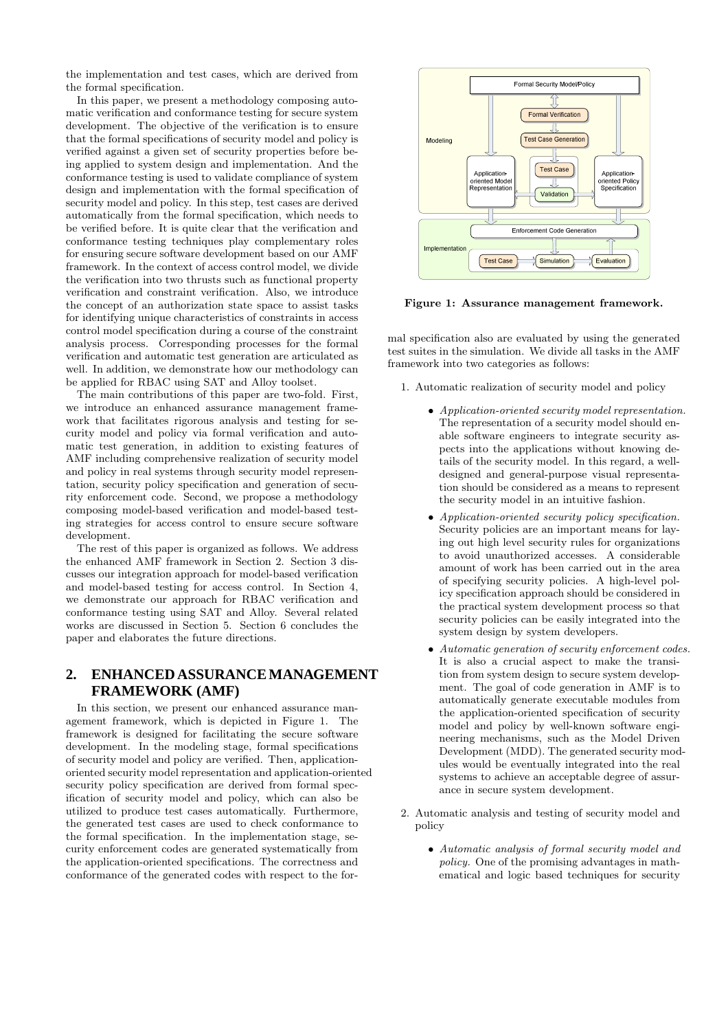the implementation and test cases, which are derived from the formal specification.

In this paper, we present a methodology composing automatic verification and conformance testing for secure system development. The objective of the verification is to ensure that the formal specifications of security model and policy is verified against a given set of security properties before being applied to system design and implementation. And the conformance testing is used to validate compliance of system design and implementation with the formal specification of security model and policy. In this step, test cases are derived automatically from the formal specification, which needs to be verified before. It is quite clear that the verification and conformance testing techniques play complementary roles for ensuring secure software development based on our AMF framework. In the context of access control model, we divide the verification into two thrusts such as functional property verification and constraint verification. Also, we introduce the concept of an authorization state space to assist tasks for identifying unique characteristics of constraints in access control model specification during a course of the constraint analysis process. Corresponding processes for the formal verification and automatic test generation are articulated as well. In addition, we demonstrate how our methodology can be applied for RBAC using SAT and Alloy toolset.

The main contributions of this paper are two-fold. First, we introduce an enhanced assurance management framework that facilitates rigorous analysis and testing for security model and policy via formal verification and automatic test generation, in addition to existing features of AMF including comprehensive realization of security model and policy in real systems through security model representation, security policy specification and generation of security enforcement code. Second, we propose a methodology composing model-based verification and model-based testing strategies for access control to ensure secure software development.

The rest of this paper is organized as follows. We address the enhanced AMF framework in Section 2. Section 3 discusses our integration approach for model-based verification and model-based testing for access control. In Section 4, we demonstrate our approach for RBAC verification and conformance testing using SAT and Alloy. Several related works are discussed in Section 5. Section 6 concludes the paper and elaborates the future directions.

## **2. ENHANCED ASSURANCE MANAGEMENT FRAMEWORK (AMF)**

In this section, we present our enhanced assurance management framework, which is depicted in Figure 1. The framework is designed for facilitating the secure software development. In the modeling stage, formal specifications of security model and policy are verified. Then, applicationoriented security model representation and application-oriented security policy specification are derived from formal specification of security model and policy, which can also be utilized to produce test cases automatically. Furthermore, the generated test cases are used to check conformance to the formal specification. In the implementation stage, security enforcement codes are generated systematically from the application-oriented specifications. The correctness and conformance of the generated codes with respect to the for-



Figure 1: Assurance management framework.

mal specification also are evaluated by using the generated test suites in the simulation. We divide all tasks in the AMF framework into two categories as follows:

1. Automatic realization of security model and policy

- Application-oriented security model representation. The representation of a security model should enable software engineers to integrate security aspects into the applications without knowing details of the security model. In this regard, a welldesigned and general-purpose visual representation should be considered as a means to represent the security model in an intuitive fashion.
- Application-oriented security policy specification. Security policies are an important means for laying out high level security rules for organizations to avoid unauthorized accesses. A considerable amount of work has been carried out in the area of specifying security policies. A high-level policy specification approach should be considered in the practical system development process so that security policies can be easily integrated into the system design by system developers.
- Automatic generation of security enforcement codes. It is also a crucial aspect to make the transition from system design to secure system development. The goal of code generation in AMF is to automatically generate executable modules from the application-oriented specification of security model and policy by well-known software engineering mechanisms, such as the Model Driven Development (MDD). The generated security modules would be eventually integrated into the real systems to achieve an acceptable degree of assurance in secure system development.
- 2. Automatic analysis and testing of security model and policy
	- Automatic analysis of formal security model and policy. One of the promising advantages in mathematical and logic based techniques for security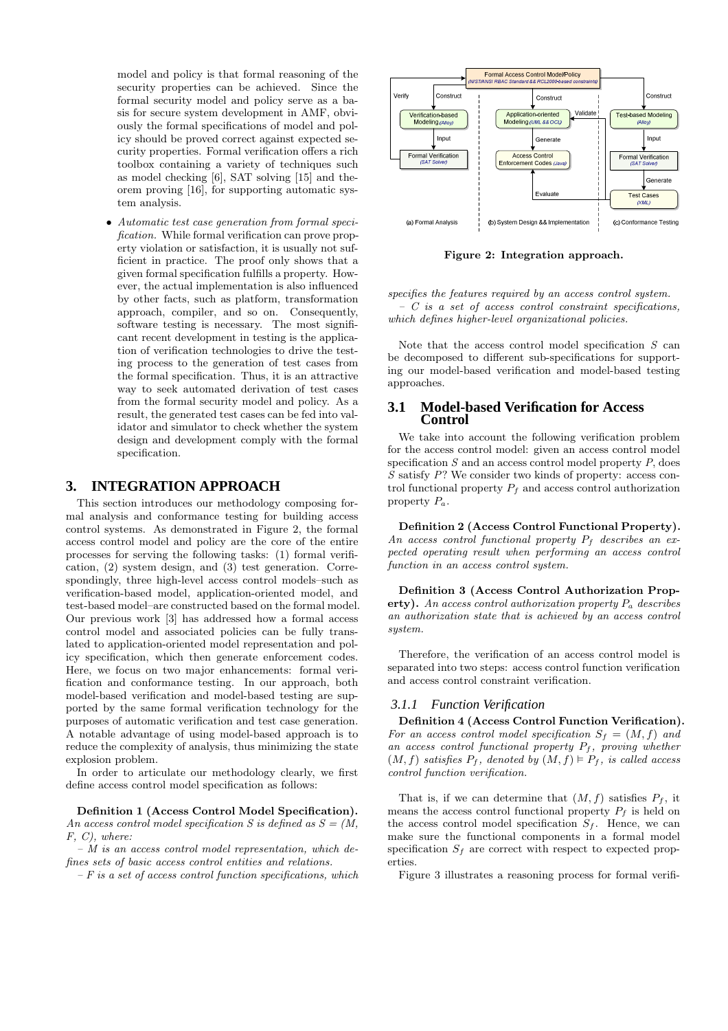model and policy is that formal reasoning of the security properties can be achieved. Since the formal security model and policy serve as a basis for secure system development in AMF, obviously the formal specifications of model and policy should be proved correct against expected security properties. Formal verification offers a rich toolbox containing a variety of techniques such as model checking [6], SAT solving [15] and theorem proving [16], for supporting automatic system analysis.

• Automatic test case generation from formal specification. While formal verification can prove property violation or satisfaction, it is usually not sufficient in practice. The proof only shows that a given formal specification fulfills a property. However, the actual implementation is also influenced by other facts, such as platform, transformation approach, compiler, and so on. Consequently, software testing is necessary. The most significant recent development in testing is the application of verification technologies to drive the testing process to the generation of test cases from the formal specification. Thus, it is an attractive way to seek automated derivation of test cases from the formal security model and policy. As a result, the generated test cases can be fed into validator and simulator to check whether the system design and development comply with the formal specification.

### **3. INTEGRATION APPROACH**

This section introduces our methodology composing formal analysis and conformance testing for building access control systems. As demonstrated in Figure 2, the formal access control model and policy are the core of the entire processes for serving the following tasks: (1) formal verification, (2) system design, and (3) test generation. Correspondingly, three high-level access control models–such as verification-based model, application-oriented model, and test-based model–are constructed based on the formal model. Our previous work [3] has addressed how a formal access control model and associated policies can be fully translated to application-oriented model representation and policy specification, which then generate enforcement codes. Here, we focus on two major enhancements: formal verification and conformance testing. In our approach, both model-based verification and model-based testing are supported by the same formal verification technology for the purposes of automatic verification and test case generation. A notable advantage of using model-based approach is to reduce the complexity of analysis, thus minimizing the state explosion problem.

In order to articulate our methodology clearly, we first define access control model specification as follows:

Definition 1 (Access Control Model Specification). An access control model specification S is defined as  $S = (M,$ F, C), where:

 $-$  M is an access control model representation, which defines sets of basic access control entities and relations.

 $-F$  is a set of access control function specifications, which



Figure 2: Integration approach.

specifies the features required by an access control system.  $-$  C is a set of access control constraint specifications, which defines higher-level organizational policies.

Note that the access control model specification  $S$  can be decomposed to different sub-specifications for supporting our model-based verification and model-based testing approaches.

#### **3.1 Model-based Verification for Access Control**

We take into account the following verification problem for the access control model: given an access control model specification  $S$  and an access control model property  $P$ , does S satisfy P? We consider two kinds of property: access control functional property  $P_f$  and access control authorization property  $P_a$ .

Definition 2 (Access Control Functional Property). An access control functional property  $P_f$  describes an expected operating result when performing an access control function in an access control system.

Definition 3 (Access Control Authorization Property). An access control authorization property  $P_a$  describes an authorization state that is achieved by an access control system.

Therefore, the verification of an access control model is separated into two steps: access control function verification and access control constraint verification.

#### *3.1.1 Function Verification*

Definition 4 (Access Control Function Verification). For an access control model specification  $S_f = (M, f)$  and an access control functional property  $P_f$ , proving whether  $(M, f)$  satisfies  $P_f$ , denoted by  $(M, f) \models P_f$ , is called access control function verification.

That is, if we can determine that  $(M, f)$  satisfies  $P_f$ , it means the access control functional property  $P_f$  is held on the access control model specification  $S_f$ . Hence, we can make sure the functional components in a formal model specification  $S_f$  are correct with respect to expected properties.

Figure 3 illustrates a reasoning process for formal verifi-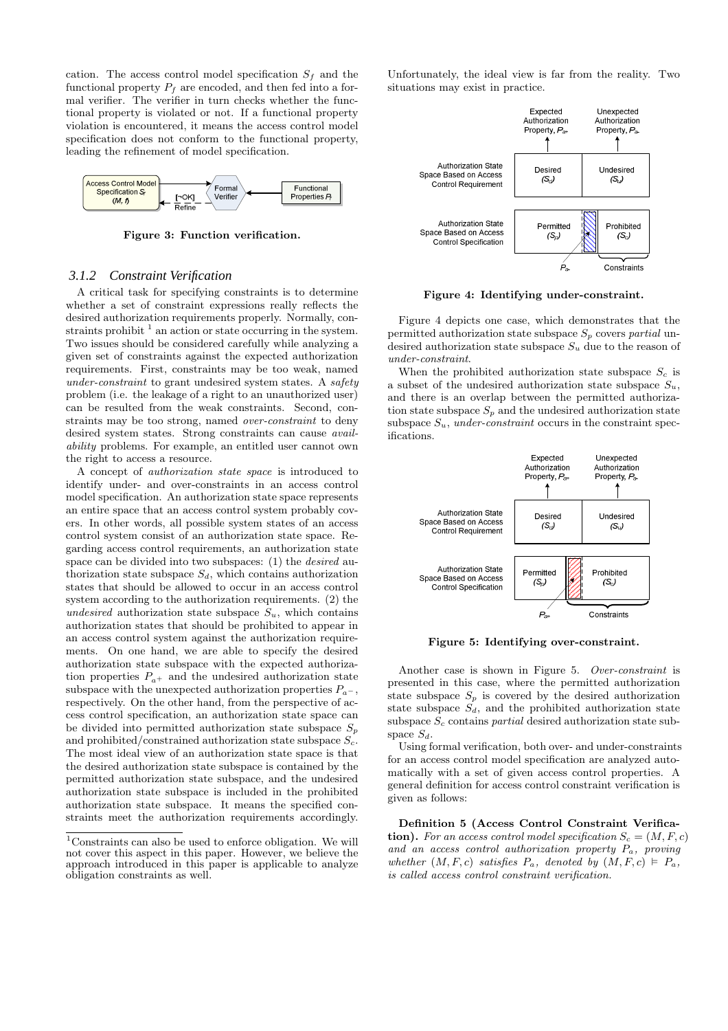cation. The access control model specification  $S_f$  and the functional property  $P_f$  are encoded, and then fed into a formal verifier. The verifier in turn checks whether the functional property is violated or not. If a functional property violation is encountered, it means the access control model specification does not conform to the functional property, leading the refinement of model specification.



Figure 3: Function verification.

#### *3.1.2 Constraint Verification*

A critical task for specifying constraints is to determine whether a set of constraint expressions really reflects the desired authorization requirements properly. Normally, constraints prohibit  $<sup>1</sup>$  an action or state occurring in the system.</sup> Two issues should be considered carefully while analyzing a given set of constraints against the expected authorization requirements. First, constraints may be too weak, named under-constraint to grant undesired system states. A safety problem (i.e. the leakage of a right to an unauthorized user) can be resulted from the weak constraints. Second, constraints may be too strong, named over-constraint to deny desired system states. Strong constraints can cause availability problems. For example, an entitled user cannot own the right to access a resource.

A concept of authorization state space is introduced to identify under- and over-constraints in an access control model specification. An authorization state space represents an entire space that an access control system probably covers. In other words, all possible system states of an access control system consist of an authorization state space. Regarding access control requirements, an authorization state space can be divided into two subspaces: (1) the desired authorization state subspace  $S_d$ , which contains authorization states that should be allowed to occur in an access control system according to the authorization requirements. (2) the undesired authorization state subspace  $S_u$ , which contains authorization states that should be prohibited to appear in an access control system against the authorization requirements. On one hand, we are able to specify the desired authorization state subspace with the expected authorization properties  $P_{a+}$  and the undesired authorization state subspace with the unexpected authorization properties  $P_{a-}$ , respectively. On the other hand, from the perspective of access control specification, an authorization state space can be divided into permitted authorization state subspace  $S_p$ and prohibited/constrained authorization state subspace  $S_c$ . The most ideal view of an authorization state space is that the desired authorization state subspace is contained by the permitted authorization state subspace, and the undesired authorization state subspace is included in the prohibited authorization state subspace. It means the specified constraints meet the authorization requirements accordingly.

Unfortunately, the ideal view is far from the reality. Two situations may exist in practice.



Figure 4: Identifying under-constraint.

Figure 4 depicts one case, which demonstrates that the permitted authorization state subspace  $S_p$  covers partial undesired authorization state subspace  $S_u$  due to the reason of under-constraint.

When the prohibited authorization state subspace  $S<sub>c</sub>$  is a subset of the undesired authorization state subspace  $S_u$ , and there is an overlap between the permitted authorization state subspace  $S_p$  and the undesired authorization state subspace  $S_u$ , under-constraint occurs in the constraint specifications.



Figure 5: Identifying over-constraint.

Another case is shown in Figure 5. Over-constraint is presented in this case, where the permitted authorization state subspace  $S_p$  is covered by the desired authorization state subspace  $S_d$ , and the prohibited authorization state subspace  $S_c$  contains *partial* desired authorization state subspace  $S_d$ .

Using formal verification, both over- and under-constraints for an access control model specification are analyzed automatically with a set of given access control properties. A general definition for access control constraint verification is given as follows:

Definition 5 (Access Control Constraint Verification). For an access control model specification  $S_c = (M, F, c)$ and an access control authorization property  $P_a$ , proving whether  $(M, F, c)$  satisfies  $P_a$ , denoted by  $(M, F, c) \models P_a$ , is called access control constraint verification.

 $1$ Constraints can also be used to enforce obligation. We will not cover this aspect in this paper. However, we believe the approach introduced in this paper is applicable to analyze obligation constraints as well.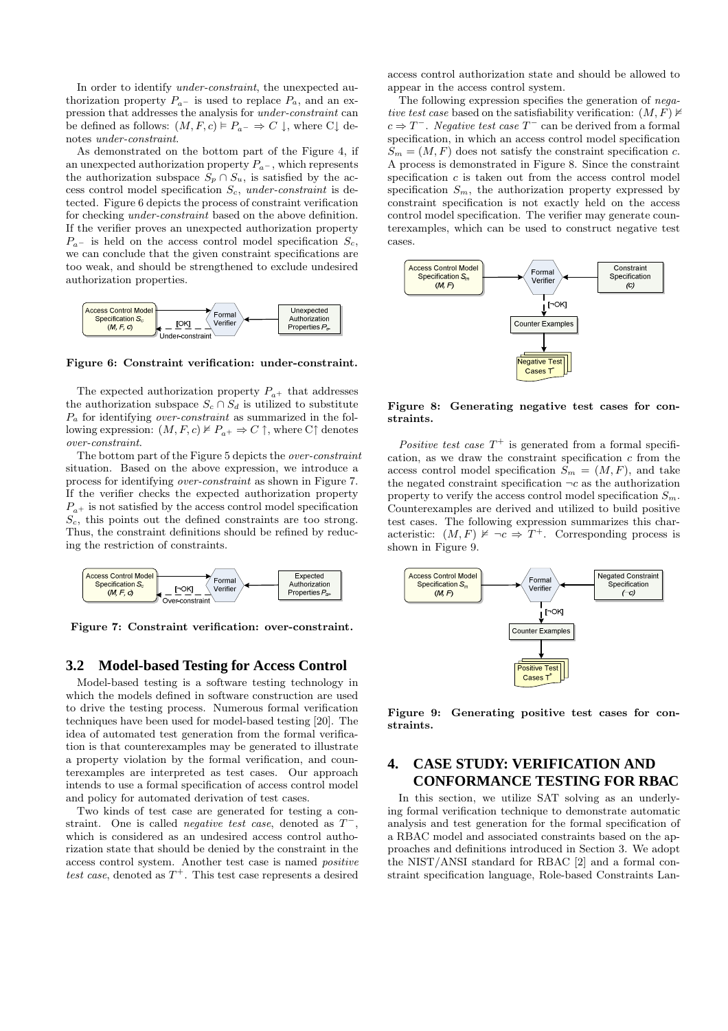In order to identify under-constraint, the unexpected authorization property  $P_{a-}$  is used to replace  $P_{a}$ , and an expression that addresses the analysis for under-constraint can be defined as follows:  $(M, F, c) \models P_{a} \Rightarrow C \downarrow$ , where  $C \downarrow$  denotes under-constraint.

As demonstrated on the bottom part of the Figure 4, if an unexpected authorization property  $P_{a-}$ , which represents the authorization subspace  $S_p \cap S_u$ , is satisfied by the access control model specification  $S_c$ , under-constraint is detected. Figure 6 depicts the process of constraint verification for checking under-constraint based on the above definition. If the verifier proves an unexpected authorization property  $P_{a-}$  is held on the access control model specification  $S_c$ , we can conclude that the given constraint specifications are too weak, and should be strengthened to exclude undesired authorization properties.



Figure 6: Constraint verification: under-constraint.

The expected authorization property  $P_{a+}$  that addresses the authorization subspace  $S_c \cap S_d$  is utilized to substitute  $P_a$  for identifying *over-constraint* as summarized in the following expression:  $(M, F, c) \nvdash P_{a^+} \Rightarrow C \uparrow$ , where  $C \uparrow$  denotes over-constraint.

The bottom part of the Figure 5 depicts the over-constraint situation. Based on the above expression, we introduce a process for identifying over-constraint as shown in Figure 7. If the verifier checks the expected authorization property  $P_{a+}$  is not satisfied by the access control model specification  $S_c$ , this points out the defined constraints are too strong. Thus, the constraint definitions should be refined by reducing the restriction of constraints.



Figure 7: Constraint verification: over-constraint.

#### **3.2 Model-based Testing for Access Control**

Model-based testing is a software testing technology in which the models defined in software construction are used to drive the testing process. Numerous formal verification techniques have been used for model-based testing [20]. The idea of automated test generation from the formal verification is that counterexamples may be generated to illustrate a property violation by the formal verification, and counterexamples are interpreted as test cases. Our approach intends to use a formal specification of access control model and policy for automated derivation of test cases.

Two kinds of test case are generated for testing a constraint. One is called *negative test case*, denoted as  $T^-$ , which is considered as an undesired access control authorization state that should be denied by the constraint in the access control system. Another test case is named positive test case, denoted as  $T^+$ . This test case represents a desired

access control authorization state and should be allowed to appear in the access control system.

The following expression specifies the generation of negative test case based on the satisfiability verification:  $(M, F)$   $\nvdash$  $c \Rightarrow T^-$ . Negative test case  $T^-$  can be derived from a formal specification, in which an access control model specification  $S_m = (M, F)$  does not satisfy the constraint specification c. A process is demonstrated in Figure 8. Since the constraint specification c is taken out from the access control model specification  $S_m$ , the authorization property expressed by constraint specification is not exactly held on the access control model specification. The verifier may generate counterexamples, which can be used to construct negative test cases.



Figure 8: Generating negative test cases for constraints.

Positive test case  $T^+$  is generated from a formal specification, as we draw the constraint specification  $c$  from the access control model specification  $S_m = (M, F)$ , and take the negated constraint specification  $\neg c$  as the authorization property to verify the access control model specification  $S_m$ . Counterexamples are derived and utilized to build positive test cases. The following expression summarizes this characteristic:  $(M, F) \not\vDash \neg c \Rightarrow T^+$ . Corresponding process is shown in Figure 9.



Figure 9: Generating positive test cases for constraints.

## **4. CASE STUDY: VERIFICATION AND CONFORMANCE TESTING FOR RBAC**

In this section, we utilize SAT solving as an underlying formal verification technique to demonstrate automatic analysis and test generation for the formal specification of a RBAC model and associated constraints based on the approaches and definitions introduced in Section 3. We adopt the NIST/ANSI standard for RBAC [2] and a formal constraint specification language, Role-based Constraints Lan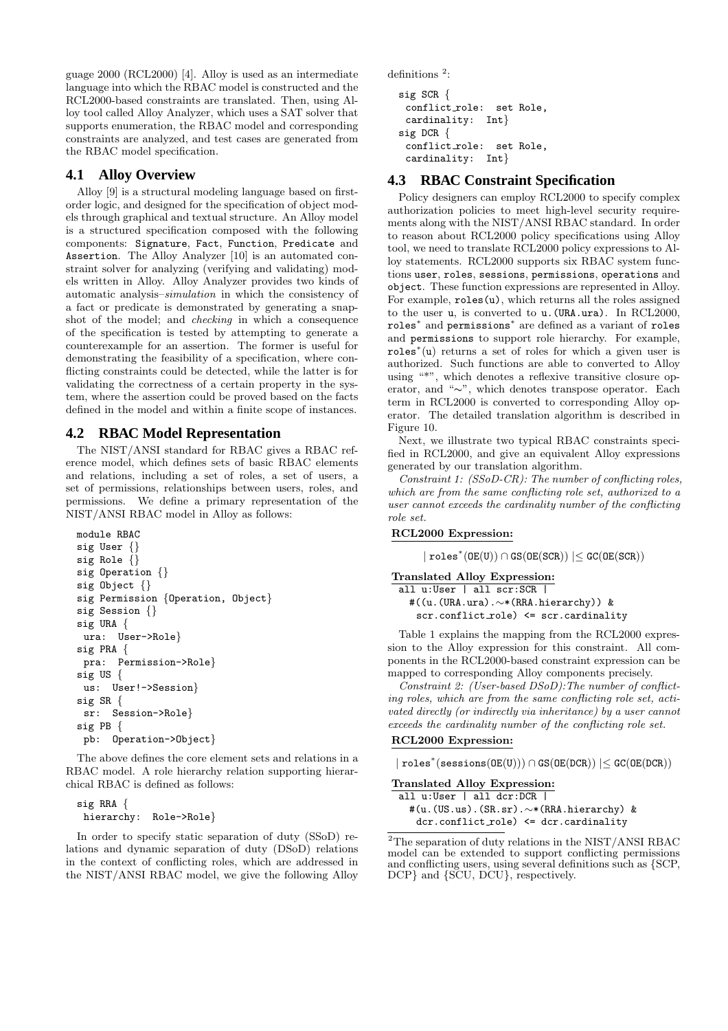guage 2000 (RCL2000) [4]. Alloy is used as an intermediate language into which the RBAC model is constructed and the RCL2000-based constraints are translated. Then, using Alloy tool called Alloy Analyzer, which uses a SAT solver that supports enumeration, the RBAC model and corresponding constraints are analyzed, and test cases are generated from the RBAC model specification.

### **4.1 Alloy Overview**

Alloy [9] is a structural modeling language based on firstorder logic, and designed for the specification of object models through graphical and textual structure. An Alloy model is a structured specification composed with the following components: Signature, Fact, Function, Predicate and Assertion. The Alloy Analyzer [10] is an automated constraint solver for analyzing (verifying and validating) models written in Alloy. Alloy Analyzer provides two kinds of automatic analysis–simulation in which the consistency of a fact or predicate is demonstrated by generating a snapshot of the model; and checking in which a consequence of the specification is tested by attempting to generate a counterexample for an assertion. The former is useful for demonstrating the feasibility of a specification, where conflicting constraints could be detected, while the latter is for validating the correctness of a certain property in the system, where the assertion could be proved based on the facts defined in the model and within a finite scope of instances.

### **4.2 RBAC Model Representation**

The NIST/ANSI standard for RBAC gives a RBAC reference model, which defines sets of basic RBAC elements and relations, including a set of roles, a set of users, a set of permissions, relationships between users, roles, and permissions. We define a primary representation of the NIST/ANSI RBAC model in Alloy as follows:

```
module RBAC
sig User {}
sig Role {}
sig Operation {}
sig Object {}
sig Permission {Operation, Object}
sig Session {}
sig URA {
 ura: User->Role}
sig PRA {
 pra: Permission->Role}
sig US {
 us: User!->Session}
sig SR {
 sr: Session->Role}
sig PB {
 pb: Operation->Object}
```
The above defines the core element sets and relations in a RBAC model. A role hierarchy relation supporting hierarchical RBAC is defined as follows:

```
sig RRA {
 hierarchy: Role->Role}
```
In order to specify static separation of duty (SSoD) relations and dynamic separation of duty (DSoD) relations in the context of conflicting roles, which are addressed in the NIST/ANSI RBAC model, we give the following Alloy  $definitions<sup>2</sup>$ :

```
sig SCR {
 conflict role: set Role,
 cardinality: Int}
sig DCR {
 conflict_role: set Role,
 cardinality: Int}
```
### **4.3 RBAC Constraint Specification**

Policy designers can employ RCL2000 to specify complex authorization policies to meet high-level security requirements along with the NIST/ANSI RBAC standard. In order to reason about RCL2000 policy specifications using Alloy tool, we need to translate RCL2000 policy expressions to Alloy statements. RCL2000 supports six RBAC system functions user, roles, sessions, permissions, operations and object. These function expressions are represented in Alloy. For example,  $reles(u)$ , which returns all the roles assigned to the user u, is converted to u.(URA.ura). In RCL2000, roles<sup>∗</sup> and permissions<sup>∗</sup> are defined as a variant of roles and permissions to support role hierarchy. For example, roles<sup>∗</sup> (u) returns a set of roles for which a given user is authorized. Such functions are able to converted to Alloy using "\*", which denotes a reflexive transitive closure operator, and "∼", which denotes transpose operator. Each term in RCL2000 is converted to corresponding Alloy operator. The detailed translation algorithm is described in Figure 10.

Next, we illustrate two typical RBAC constraints specified in RCL2000, and give an equivalent Alloy expressions generated by our translation algorithm.

Constraint 1: (SSoD-CR): The number of conflicting roles, which are from the same conflicting role set, authorized to a user cannot exceeds the cardinality number of the conflicting role set.

#### RCL2000 Expression:

 $| \text{roles}^*(\text{OE}(U)) \cap \text{GS}(\text{OE}(SCR)) | \leq \text{GC}(\text{OE}(SCR))$ 

```
Translated Alloy Expression:
 all u:User | all scr:SCR |
  #((u.(URA.ura).∼*(RRA.hierarchy)) &
    scr.conflict_role) <= scr.cardinality
```
Table 1 explains the mapping from the RCL2000 expression to the Alloy expression for this constraint. All components in the RCL2000-based constraint expression can be mapped to corresponding Alloy components precisely.

Constraint 2: (User-based DSoD):The number of conflicting roles, which are from the same conflicting role set, activated directly (or indirectly via inheritance) by a user cannot exceeds the cardinality number of the conflicting role set.

#### RCL2000 Expression:

 $|$ roles<sup>\*</sup>(sessions(OE(U)))  $\cap$  GS(OE(DCR))  $| \leq$  GC(OE(DCR))

```
Translated Alloy Expression:
 all u:User | all dcr:DCR |
  #(u.(US.us).(SR.sr).∼*(RRA.hierarchy) &
    dcr.conflict_role) <= dcr.cardinality
```
 $\overline{P_{\rm 2The\; separation\; of\; duty\; relations\; in\; the\; NIST/ANSI\; RBAC}}$ model can be extended to support conflicting permissions and conflicting users, using several definitions such as {SCP, DCP} and {SCU, DCU}, respectively.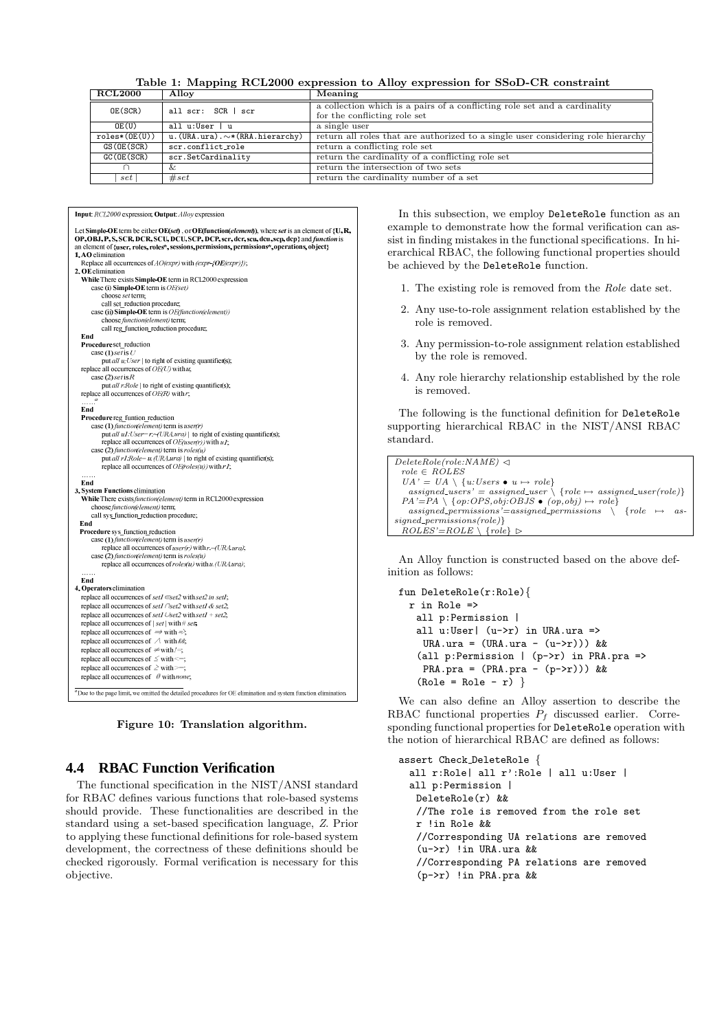| Table 1: Mapping RCL2000 expression to Alloy expression for SSoD-CR constraint |  |  |  |  |  |
|--------------------------------------------------------------------------------|--|--|--|--|--|
|--------------------------------------------------------------------------------|--|--|--|--|--|

| <b>RCL2000</b>    | Alloy                                     | Meaning                                                                                                   |  |
|-------------------|-------------------------------------------|-----------------------------------------------------------------------------------------------------------|--|
| OE(SCR)           | all scr: SCR   scr                        | a collection which is a pairs of a conflicting role set and a cardinality<br>for the conflicting role set |  |
| OE(U)             | all u:User   u                            | a single user                                                                                             |  |
| $reles*(OE(U))$   | $u.$ (URA.ura). $\sim$ * (RRA. hierarchy) | return all roles that are authorized to a single user considering role hierarchy                          |  |
| GS (OE (SCR)      | scr.conflict_role                         | return a conflicting role set                                                                             |  |
| GC(OE(SCR))       | scr.SetCardinality                        | return the cardinality of a conflicting role set                                                          |  |
|                   | Xz.                                       | return the intersection of two sets                                                                       |  |
| $_{\mathit{set}}$ | # set                                     | return the cardinality number of a set                                                                    |  |

#### **Input RCL2000** expression: **Output**: Allovexpression

| Let Simple-OE term be either OE(set), or OE(function(element)), where set is an element of $\{U, R\}$ ,<br>OP, OBJ, P, S, SCR, DCR, SCU, DCU, SCP, DCP, scr, der, scu, deu, sep, dep} and <i>function</i> is |
|--------------------------------------------------------------------------------------------------------------------------------------------------------------------------------------------------------------|
| an element of {user, roles, roles*, sessions, permissions, permissions*, operations, object}                                                                                                                 |
| 1. AO elimination                                                                                                                                                                                            |
| Replace all occurrences of <i>AO(expr)</i> with (expr-{OE(expr)});                                                                                                                                           |
| 2. OE elimination                                                                                                                                                                                            |
| While There exists Simple-OE term in RCL2000 expression                                                                                                                                                      |
| case (i) Simple-OE term is OE(set)                                                                                                                                                                           |
| choose set term;                                                                                                                                                                                             |
| call set reduction procedure;                                                                                                                                                                                |
| case (ii) Simple-OE term is OE(function(element))                                                                                                                                                            |
| choose function(element) term;                                                                                                                                                                               |
| call reg function reduction procedure;                                                                                                                                                                       |
| End                                                                                                                                                                                                          |
| Procedure set reduction                                                                                                                                                                                      |
| case (1) set is $U$                                                                                                                                                                                          |
| put all u:User   to right of existing quantifier(s);                                                                                                                                                         |
| replace all occurrences of $OE$ (U) with u;                                                                                                                                                                  |
| case (2) set is $R$                                                                                                                                                                                          |
| put all r:Role   to right of existing quantifier(s);                                                                                                                                                         |
| replace all occurrences of $OE(R)$ with r;                                                                                                                                                                   |
| $\ldots$ $a$                                                                                                                                                                                                 |
| End                                                                                                                                                                                                          |
| Procedure reg funtion reduction                                                                                                                                                                              |
| case (1) function(element) term is user(r)                                                                                                                                                                   |
| put <i>all ul</i> : <i>User</i> = $r$ ~ ( <i>URA.ura</i> )   to right of existing quantifier(s);                                                                                                             |
| replace all occurrences of <i>OE(user(r)</i> ) with u1;                                                                                                                                                      |
| case (2) function(element) term is roles(u)                                                                                                                                                                  |
| put <i>all r1:Role=u.</i> (URA.ura)   to right of existing quantifier(s);                                                                                                                                    |
| replace all occurrences of $OE(roles(u))$ with $r1$ ;                                                                                                                                                        |
| .<br>End                                                                                                                                                                                                     |
| 3. System Functions elimination                                                                                                                                                                              |
| While There exists function(element) term in RCL2000 expression                                                                                                                                              |
| choose function(element) term;                                                                                                                                                                               |
| call sys function reduction procedure;                                                                                                                                                                       |
| End                                                                                                                                                                                                          |
| Procedure sys function reduction                                                                                                                                                                             |
| case (1) function(element) term is user(r)                                                                                                                                                                   |
| replace all occurrences of <i>user(r)</i> with r.~ <i>(URA.ura)</i> ;                                                                                                                                        |
| case (2) function(element) term is roles(u)                                                                                                                                                                  |
| replace all occurrences of roles(u) with u. (URA ura);                                                                                                                                                       |
|                                                                                                                                                                                                              |
| End                                                                                                                                                                                                          |
| <b>4. Operators elimination</b>                                                                                                                                                                              |
| replace all occurrences of set1 ∈set2 with set2 in set1;                                                                                                                                                     |
| replace all occurrences of set1 / /set2 with set1 & set2;                                                                                                                                                    |
|                                                                                                                                                                                                              |
| replace all occurrences of set1 $\cup$ set2 with set1 + set2;                                                                                                                                                |
| replace all occurrences of $ set $ with # set;                                                                                                                                                               |
| replace all occurrences of $\Rightarrow$ with $\Rightarrow$                                                                                                                                                  |
| replace all occurrences of $\Lambda$ with &&                                                                                                                                                                 |
| replace all occurrences of $\neq$ with /=;                                                                                                                                                                   |
| replace all occurrences of $\leq$ with $\leq$ .                                                                                                                                                              |
| replace all occurrences of $\geq$ with $>=$ ;                                                                                                                                                                |
| replace all occurrences of $\mathcal O$ with <i>none</i> ;                                                                                                                                                   |
|                                                                                                                                                                                                              |
| <sup>a</sup> Due to the page limit, we omitted the detailed procedures for OE elimination and system function elimination.                                                                                   |
|                                                                                                                                                                                                              |



#### **4.4 RBAC Function Verification**

The functional specification in the NIST/ANSI standard for RBAC defines various functions that role-based systems should provide. These functionalities are described in the standard using a set-based specification language, Z. Prior to applying these functional definitions for role-based system development, the correctness of these definitions should be checked rigorously. Formal verification is necessary for this objective.

In this subsection, we employ DeleteRole function as an example to demonstrate how the formal verification can assist in finding mistakes in the functional specifications. In hierarchical RBAC, the following functional properties should be achieved by the DeleteRole function.

- 1. The existing role is removed from the Role date set.
- 2. Any use-to-role assignment relation established by the role is removed.
- 3. Any permission-to-role assignment relation established by the role is removed.
- 4. Any role hierarchy relationship established by the role is removed.

The following is the functional definition for DeleteRole supporting hierarchical RBAC in the NIST/ANSI RBAC standard.

```
DeleteRole(role: NAME) \triangleleft role \in ROLESUA' = UA \setminus \{u:Users \bullet u \mapsto role\}assigned\_users' = assigned\_user \setminus \{role \mapsto assigned\_user(root)\}PA' = PA \setminus \{op: OPS, obj: OBJS \bullet (op, obj) \mapsto role\}assigned permissions'=assigned permissions \ {role 7→ as-
sinned_ \,permsions (role)}
 ROLES' = ROLE \setminus \{role\}
```
An Alloy function is constructed based on the above definition as follows:

```
fun DeleteRole(r:Role){
 r in Role =>
  all p:Permission |
  all u:User (u->r) in URA.ura =>
    URA.ura = (URA.ura - (u->r))) & &
   (all p:Permission | (p->r) in PRA.pra =>
    PRA.pra = (PRA.pra - (p->r))) & &
   (Role = Role - r)
```
We can also define an Alloy assertion to describe the RBAC functional properties  $P_f$  discussed earlier. Corresponding functional properties for DeleteRole operation with the notion of hierarchical RBAC are defined as follows:

```
assert Check DeleteRole {
 all r:Role| all r':Role | all u:User |
 all p:Permission |
  DeleteRole(r) &&
  //The role is removed from the role set
  r !in Role &&
  //Corresponding UA relations are removed
   (u->r) !in URA.ura &&
   //Corresponding PA relations are removed
   (p->r) !in PRA.pra &&
```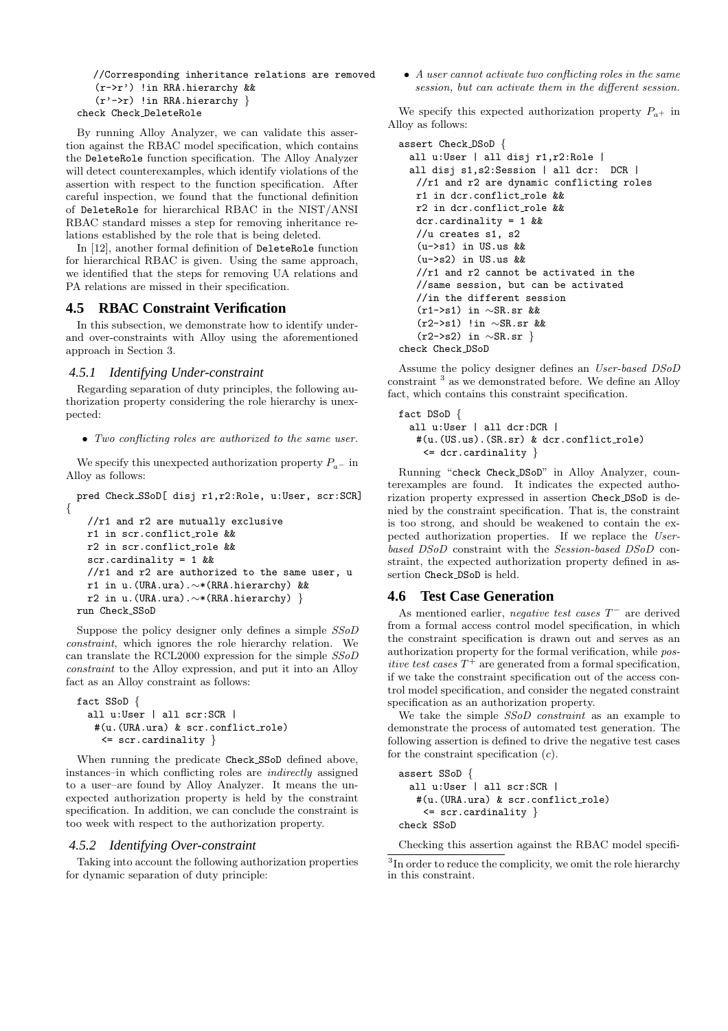```
//Corresponding inheritance relations are removed
  (r->r') !in RRA.hierarchy &&
   (r'->r) !in RRA.hierarchy }
check Check DeleteRole
```
By running Alloy Analyzer, we can validate this assertion against the RBAC model specification, which contains the DeleteRole function specification. The Alloy Analyzer will detect counterexamples, which identify violations of the assertion with respect to the function specification. After careful inspection, we found that the functional definition of DeleteRole for hierarchical RBAC in the NIST/ANSI RBAC standard misses a step for removing inheritance relations established by the role that is being deleted.

In [12], another formal definition of DeleteRole function for hierarchical RBAC is given. Using the same approach, we identified that the steps for removing UA relations and PA relations are missed in their specification.

#### **4.5 RBAC Constraint Verification**

In this subsection, we demonstrate how to identify underand over-constraints with Alloy using the aforementioned approach in Section 3.

#### *4.5.1 Identifying Under-constraint*

Regarding separation of duty principles, the following authorization property considering the role hierarchy is unexpected:

• Two conflicting roles are authorized to the same user.

We specify this unexpected authorization property  $P_{a-}$  in Alloy as follows:

pred Check SSoD[ disj r1,r2:Role, u:User, scr:SCR] {

```
//r1 and r2 are mutually exclusive
 r1 in scr.conflict role &&
 r2 in scr.conflict role &&
 scr.cardinality = 1 &&
 1/(r1) and r2 are authorized to the same user, u
 r1 in u.(URA.ura).∼*(RRA.hierarchy) &&
 r2 in u.(URA.ura).∼*(RRA.hierarchy) }
run Check SSoD
```
Suppose the policy designer only defines a simple SSoD constraint, which ignores the role hierarchy relation. We can translate the RCL2000 expression for the simple SSoD constraint to the Alloy expression, and put it into an Alloy fact as an Alloy constraint as follows:

```
fact SSoD {
  all u:User | all scr:SCR |
   #(u.(URA.ura) & scr.conflict_role)
    <= scr.cardinality }
```
When running the predicate Check SSoD defined above, instances–in which conflicting roles are indirectly assigned to a user–are found by Alloy Analyzer. It means the unexpected authorization property is held by the constraint specification. In addition, we can conclude the constraint is too week with respect to the authorization property.

#### *4.5.2 Identifying Over-constraint*

Taking into account the following authorization properties for dynamic separation of duty principle:

• A user cannot activate two conflicting roles in the same session, but can activate them in the different session.

We specify this expected authorization property  $P_{a+}$  in Alloy as follows:

```
assert Check DSoD {
 all u:User | all disj r1,r2:Role |
 all disj s1,s2:Session | all dcr: DCR |
   //r1 and r2 are dynamic conflicting roles
  r1 in dcr.conflict role &&
  r2 in dcr.conflict role &&
  dcr.cardinality = 1 &&
   //u creates s1, s2
   (u->s1) in US.us &&
   (u->s2) in US.us &&
   //r1 and r2 cannot be activated in the
   //same session, but can be activated
   //in the different session
   (r1->s1) in ∼SR.sr &&
   (r2->s1) !in ∼SR.sr &&
   (r2->s2) in ∼SR.sr }
check Check DSoD
```
Assume the policy designer defines an User-based DSoD constraint <sup>3</sup> as we demonstrated before. We define an Alloy fact, which contains this constraint specification.

```
fact DSoD {
  all u:User | all dcr:DCR |
   #(u.(US.us).(SR.sr) & dcr.conflict role)
    \leq dcr.cardinality }
```
Running "check Check DSoD" in Alloy Analyzer, counterexamples are found. It indicates the expected authorization property expressed in assertion Check DSoD is denied by the constraint specification. That is, the constraint is too strong, and should be weakened to contain the expected authorization properties. If we replace the Userbased DSoD constraint with the Session-based DSoD constraint, the expected authorization property defined in assertion Check DSoD is held.

#### **4.6 Test Case Generation**

As mentioned earlier, negative test cases  $T^-$  are derived from a formal access control model specification, in which the constraint specification is drawn out and serves as an authorization property for the formal verification, while positive test cases  $T^+$  are generated from a formal specification, if we take the constraint specification out of the access control model specification, and consider the negated constraint specification as an authorization property.

We take the simple *SSoD constraint* as an example to demonstrate the process of automated test generation. The following assertion is defined to drive the negative test cases for the constraint specification  $(c)$ .

```
assert SSoD {
  all u:User | all scr:SCR |
   #(u.(URA.ura) & scr.conflict_role)
    \leq scr.cardinality \}check SSoD
```
Checking this assertion against the RBAC model specifi-

<sup>&</sup>lt;sup>3</sup>In order to reduce the complicity, we omit the role hierarchy in this constraint.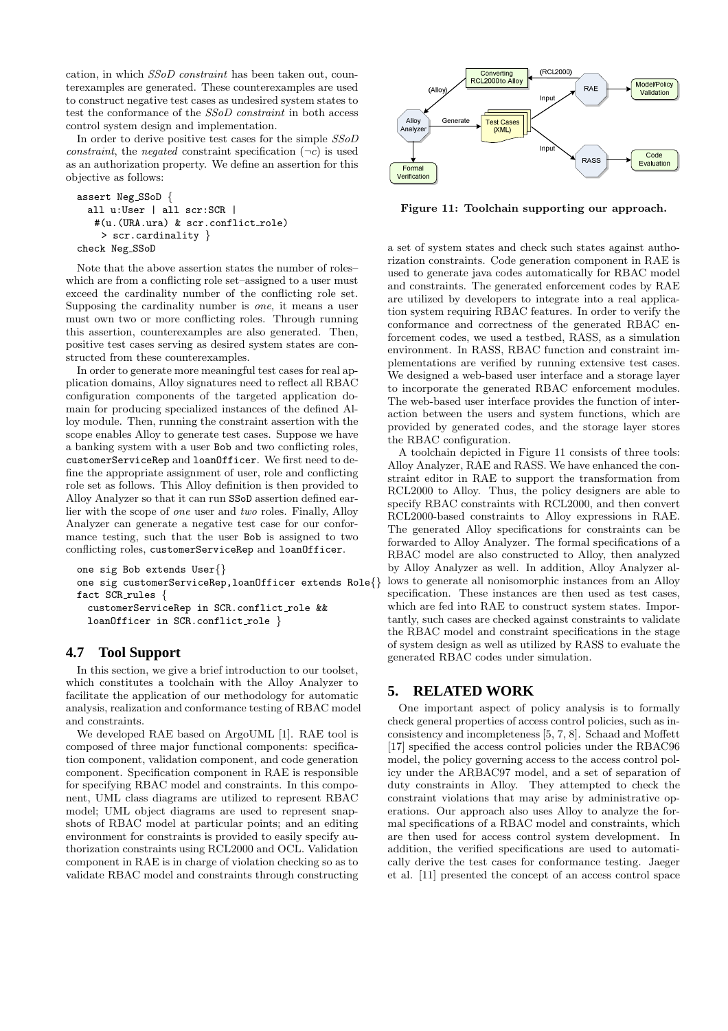cation, in which SSoD constraint has been taken out, counterexamples are generated. These counterexamples are used to construct negative test cases as undesired system states to test the conformance of the SSoD constraint in both access control system design and implementation.

In order to derive positive test cases for the simple SSoD constraint, the negated constraint specification  $(\neg c)$  is used as an authorization property. We define an assertion for this objective as follows:

```
assert Neg SSoD {
 all u:User | all scr:SCR |
   #(u.(URA.ura) & scr.conflict role)
    > scr.cardinality }
check Neg SSoD
```
Note that the above assertion states the number of roles– which are from a conflicting role set–assigned to a user must exceed the cardinality number of the conflicting role set. Supposing the cardinality number is one, it means a user must own two or more conflicting roles. Through running this assertion, counterexamples are also generated. Then, positive test cases serving as desired system states are constructed from these counterexamples.

In order to generate more meaningful test cases for real application domains, Alloy signatures need to reflect all RBAC configuration components of the targeted application domain for producing specialized instances of the defined Alloy module. Then, running the constraint assertion with the scope enables Alloy to generate test cases. Suppose we have a banking system with a user Bob and two conflicting roles, customerServiceRep and loanOfficer. We first need to define the appropriate assignment of user, role and conflicting role set as follows. This Alloy definition is then provided to Alloy Analyzer so that it can run SSoD assertion defined earlier with the scope of one user and two roles. Finally, Alloy Analyzer can generate a negative test case for our conformance testing, such that the user Bob is assigned to two conflicting roles, customerServiceRep and loanOfficer.

```
one sig Bob extends User{}
one sig customerServiceRep,loanOfficer extends Role{}
fact SCR rules {
 customerServiceRep in SCR.conflict role &&
 loanOfficer in SCR.conflict_role }
```
### **4.7 Tool Support**

In this section, we give a brief introduction to our toolset, which constitutes a toolchain with the Alloy Analyzer to facilitate the application of our methodology for automatic analysis, realization and conformance testing of RBAC model and constraints.

We developed RAE based on ArgoUML [1]. RAE tool is composed of three major functional components: specification component, validation component, and code generation component. Specification component in RAE is responsible for specifying RBAC model and constraints. In this component, UML class diagrams are utilized to represent RBAC model; UML object diagrams are used to represent snapshots of RBAC model at particular points; and an editing environment for constraints is provided to easily specify authorization constraints using RCL2000 and OCL. Validation component in RAE is in charge of violation checking so as to validate RBAC model and constraints through constructing



Figure 11: Toolchain supporting our approach.

a set of system states and check such states against authorization constraints. Code generation component in RAE is used to generate java codes automatically for RBAC model and constraints. The generated enforcement codes by RAE are utilized by developers to integrate into a real application system requiring RBAC features. In order to verify the conformance and correctness of the generated RBAC enforcement codes, we used a testbed, RASS, as a simulation environment. In RASS, RBAC function and constraint implementations are verified by running extensive test cases. We designed a web-based user interface and a storage layer to incorporate the generated RBAC enforcement modules. The web-based user interface provides the function of interaction between the users and system functions, which are provided by generated codes, and the storage layer stores the RBAC configuration.

A toolchain depicted in Figure 11 consists of three tools: Alloy Analyzer, RAE and RASS. We have enhanced the constraint editor in RAE to support the transformation from RCL2000 to Alloy. Thus, the policy designers are able to specify RBAC constraints with RCL2000, and then convert RCL2000-based constraints to Alloy expressions in RAE. The generated Alloy specifications for constraints can be forwarded to Alloy Analyzer. The formal specifications of a RBAC model are also constructed to Alloy, then analyzed by Alloy Analyzer as well. In addition, Alloy Analyzer allows to generate all nonisomorphic instances from an Alloy specification. These instances are then used as test cases, which are fed into RAE to construct system states. Importantly, such cases are checked against constraints to validate the RBAC model and constraint specifications in the stage of system design as well as utilized by RASS to evaluate the generated RBAC codes under simulation.

### **5. RELATED WORK**

One important aspect of policy analysis is to formally check general properties of access control policies, such as inconsistency and incompleteness [5, 7, 8]. Schaad and Moffett [17] specified the access control policies under the RBAC96 model, the policy governing access to the access control policy under the ARBAC97 model, and a set of separation of duty constraints in Alloy. They attempted to check the constraint violations that may arise by administrative operations. Our approach also uses Alloy to analyze the formal specifications of a RBAC model and constraints, which are then used for access control system development. In addition, the verified specifications are used to automatically derive the test cases for conformance testing. Jaeger et al. [11] presented the concept of an access control space